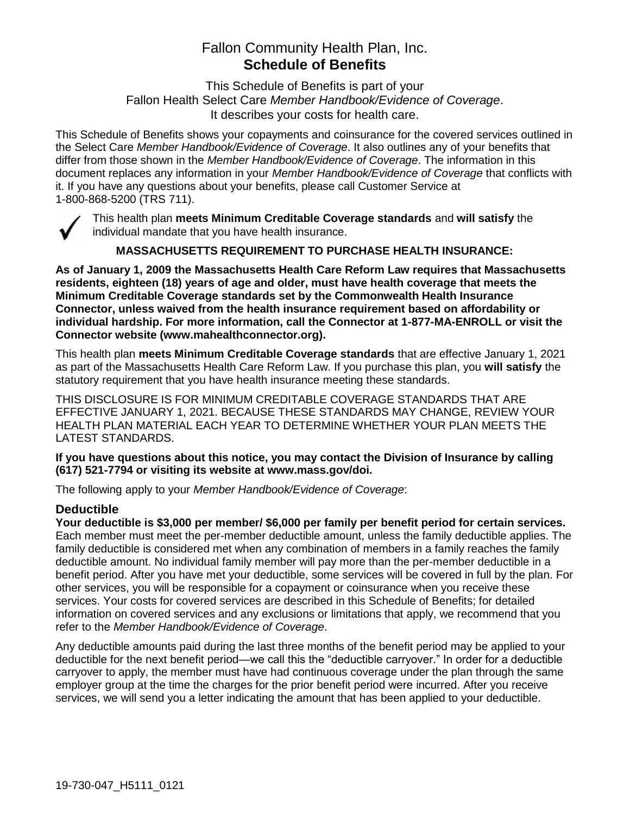# Fallon Community Health Plan, Inc. **Schedule of Benefits**

This Schedule of Benefits is part of your Fallon Health Select Care *Member Handbook/Evidence of Coverage*. It describes your costs for health care.

This Schedule of Benefits shows your copayments and coinsurance for the covered services outlined in the Select Care *Member Handbook/Evidence of Coverage*. It also outlines any of your benefits that differ from those shown in the *Member Handbook/Evidence of Coverage*. The information in this document replaces any information in your *Member Handbook/Evidence of Coverage* that conflicts with it. If you have any questions about your benefits, please call Customer Service at 1-800-868-5200 (TRS 711).



This health plan **meets Minimum Creditable Coverage standards** and **will satisfy** the individual mandate that you have health insurance.

**MASSACHUSETTS REQUIREMENT TO PURCHASE HEALTH INSURANCE:**

**As of January 1, 2009 the Massachusetts Health Care Reform Law requires that Massachusetts residents, eighteen (18) years of age and older, must have health coverage that meets the Minimum Creditable Coverage standards set by the Commonwealth Health Insurance Connector, unless waived from the health insurance requirement based on affordability or individual hardship. For more information, call the Connector at 1-877-MA-ENROLL or visit the Connector website (www.mahealthconnector.org).**

This health plan **meets Minimum Creditable Coverage standards** that are effective January 1, 2021 as part of the Massachusetts Health Care Reform Law. If you purchase this plan, you **will satisfy** the statutory requirement that you have health insurance meeting these standards.

THIS DISCLOSURE IS FOR MINIMUM CREDITABLE COVERAGE STANDARDS THAT ARE EFFECTIVE JANUARY 1, 2021. BECAUSE THESE STANDARDS MAY CHANGE, REVIEW YOUR HEALTH PLAN MATERIAL EACH YEAR TO DETERMINE WHETHER YOUR PLAN MEETS THE LATEST STANDARDS.

**If you have questions about this notice, you may contact the Division of Insurance by calling (617) 521-7794 or visiting its website at www.mass.gov/doi.** 

The following apply to your *Member Handbook/Evidence of Coverage*:

#### **Deductible**

**Your deductible is \$3,000 per member/ \$6,000 per family per benefit period for certain services.** Each member must meet the per-member deductible amount, unless the family deductible applies. The family deductible is considered met when any combination of members in a family reaches the family deductible amount. No individual family member will pay more than the per-member deductible in a benefit period. After you have met your deductible, some services will be covered in full by the plan. For other services, you will be responsible for a copayment or coinsurance when you receive these services. Your costs for covered services are described in this Schedule of Benefits; for detailed information on covered services and any exclusions or limitations that apply, we recommend that you refer to the *Member Handbook/Evidence of Coverage*.

Any deductible amounts paid during the last three months of the benefit period may be applied to your deductible for the next benefit period—we call this the "deductible carryover." In order for a deductible carryover to apply, the member must have had continuous coverage under the plan through the same employer group at the time the charges for the prior benefit period were incurred. After you receive services, we will send you a letter indicating the amount that has been applied to your deductible.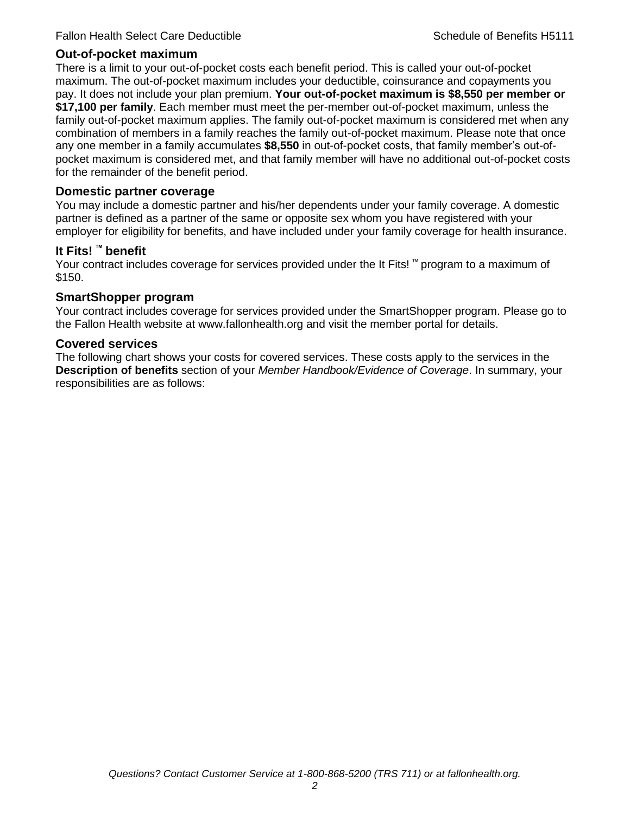#### **Out-of-pocket maximum**

There is a limit to your out-of-pocket costs each benefit period. This is called your out-of-pocket maximum. The out-of-pocket maximum includes your deductible, coinsurance and copayments you pay. It does not include your plan premium. **Your out-of-pocket maximum is \$8,550 per member or \$17,100 per family**. Each member must meet the per-member out-of-pocket maximum, unless the family out-of-pocket maximum applies. The family out-of-pocket maximum is considered met when any combination of members in a family reaches the family out-of-pocket maximum. Please note that once any one member in a family accumulates **\$8,550** in out-of-pocket costs, that family member's out-ofpocket maximum is considered met, and that family member will have no additional out-of-pocket costs for the remainder of the benefit period.

#### **Domestic partner coverage**

You may include a domestic partner and his/her dependents under your family coverage. A domestic partner is defined as a partner of the same or opposite sex whom you have registered with your employer for eligibility for benefits, and have included under your family coverage for health insurance.

#### **It Fits! ™ benefit**

Your contract includes coverage for services provided under the It Fits! ™ program to a maximum of \$150.

#### **SmartShopper program**

Your contract includes coverage for services provided under the SmartShopper program. Please go to the Fallon Health website at www.fallonhealth.org and visit the member portal for details.

#### **Covered services**

The following chart shows your costs for covered services. These costs apply to the services in the **Description of benefits** section of your *Member Handbook/Evidence of Coverage*. In summary, your responsibilities are as follows: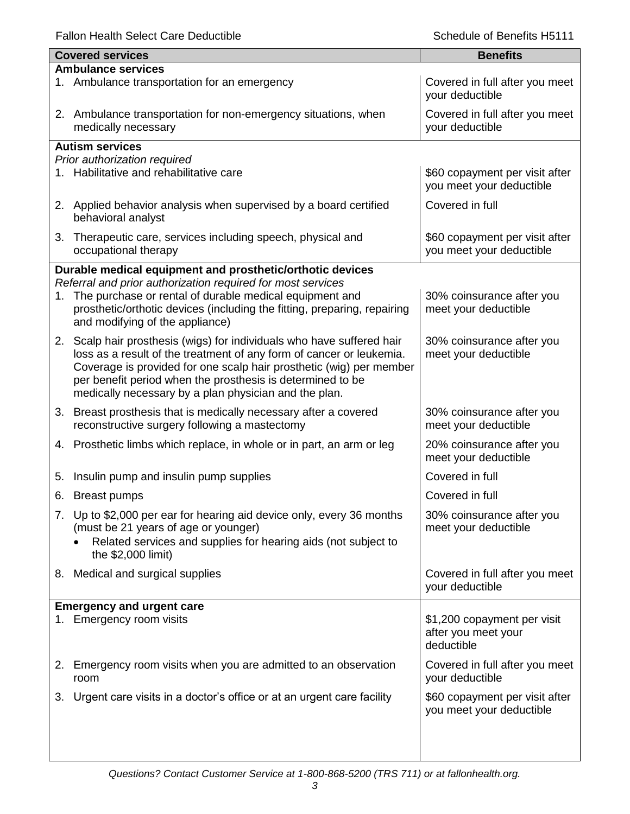|    | <b>Covered services</b>                                                                                                                                                                                                                                                                                                                      | <b>Benefits</b>                                                  |
|----|----------------------------------------------------------------------------------------------------------------------------------------------------------------------------------------------------------------------------------------------------------------------------------------------------------------------------------------------|------------------------------------------------------------------|
|    | <b>Ambulance services</b>                                                                                                                                                                                                                                                                                                                    |                                                                  |
|    | 1. Ambulance transportation for an emergency                                                                                                                                                                                                                                                                                                 | Covered in full after you meet<br>your deductible                |
|    | 2. Ambulance transportation for non-emergency situations, when<br>medically necessary                                                                                                                                                                                                                                                        | Covered in full after you meet<br>your deductible                |
|    | <b>Autism services</b>                                                                                                                                                                                                                                                                                                                       |                                                                  |
|    | Prior authorization required                                                                                                                                                                                                                                                                                                                 |                                                                  |
|    | 1. Habilitative and rehabilitative care                                                                                                                                                                                                                                                                                                      | \$60 copayment per visit after<br>you meet your deductible       |
|    | 2. Applied behavior analysis when supervised by a board certified<br>behavioral analyst                                                                                                                                                                                                                                                      | Covered in full                                                  |
| 3. | Therapeutic care, services including speech, physical and<br>occupational therapy                                                                                                                                                                                                                                                            | \$60 copayment per visit after<br>you meet your deductible       |
|    | Durable medical equipment and prosthetic/orthotic devices                                                                                                                                                                                                                                                                                    |                                                                  |
|    | Referral and prior authorization required for most services                                                                                                                                                                                                                                                                                  |                                                                  |
|    | 1. The purchase or rental of durable medical equipment and<br>prosthetic/orthotic devices (including the fitting, preparing, repairing<br>and modifying of the appliance)                                                                                                                                                                    | 30% coinsurance after you<br>meet your deductible                |
|    | 2. Scalp hair prosthesis (wigs) for individuals who have suffered hair<br>loss as a result of the treatment of any form of cancer or leukemia.<br>Coverage is provided for one scalp hair prosthetic (wig) per member<br>per benefit period when the prosthesis is determined to be<br>medically necessary by a plan physician and the plan. | 30% coinsurance after you<br>meet your deductible                |
|    | 3. Breast prosthesis that is medically necessary after a covered<br>reconstructive surgery following a mastectomy                                                                                                                                                                                                                            | 30% coinsurance after you<br>meet your deductible                |
|    | 4. Prosthetic limbs which replace, in whole or in part, an arm or leg                                                                                                                                                                                                                                                                        | 20% coinsurance after you<br>meet your deductible                |
| 5. | Insulin pump and insulin pump supplies                                                                                                                                                                                                                                                                                                       | Covered in full                                                  |
| 6. | <b>Breast pumps</b>                                                                                                                                                                                                                                                                                                                          | Covered in full                                                  |
|    | 7. Up to \$2,000 per ear for hearing aid device only, every 36 months<br>(must be 21 years of age or younger)<br>Related services and supplies for hearing aids (not subject to<br>the \$2,000 limit)                                                                                                                                        | 30% coinsurance after you<br>meet your deductible                |
|    | 8. Medical and surgical supplies                                                                                                                                                                                                                                                                                                             | Covered in full after you meet<br>your deductible                |
|    | <b>Emergency and urgent care</b>                                                                                                                                                                                                                                                                                                             |                                                                  |
|    | 1. Emergency room visits                                                                                                                                                                                                                                                                                                                     | \$1,200 copayment per visit<br>after you meet your<br>deductible |
| 2. | Emergency room visits when you are admitted to an observation<br>room                                                                                                                                                                                                                                                                        | Covered in full after you meet<br>your deductible                |
| 3. | Urgent care visits in a doctor's office or at an urgent care facility                                                                                                                                                                                                                                                                        | \$60 copayment per visit after<br>you meet your deductible       |
|    |                                                                                                                                                                                                                                                                                                                                              |                                                                  |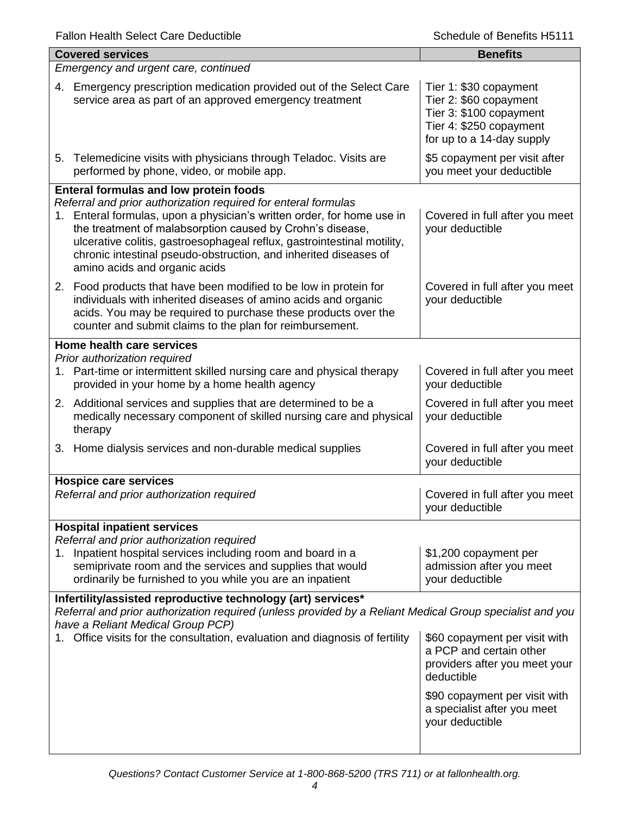| <b>Covered services</b>                                                                                                                                                                                                                                                                                                                                                                                                         | <b>Benefits</b>                                                                                                                     |  |
|---------------------------------------------------------------------------------------------------------------------------------------------------------------------------------------------------------------------------------------------------------------------------------------------------------------------------------------------------------------------------------------------------------------------------------|-------------------------------------------------------------------------------------------------------------------------------------|--|
| Emergency and urgent care, continued                                                                                                                                                                                                                                                                                                                                                                                            |                                                                                                                                     |  |
| Emergency prescription medication provided out of the Select Care<br>4.<br>service area as part of an approved emergency treatment                                                                                                                                                                                                                                                                                              | Tier 1: \$30 copayment<br>Tier 2: \$60 copayment<br>Tier 3: \$100 copayment<br>Tier 4: \$250 copayment<br>for up to a 14-day supply |  |
| 5. Telemedicine visits with physicians through Teladoc. Visits are<br>performed by phone, video, or mobile app.                                                                                                                                                                                                                                                                                                                 | \$5 copayment per visit after<br>you meet your deductible                                                                           |  |
| Enteral formulas and low protein foods<br>Referral and prior authorization required for enteral formulas<br>1. Enteral formulas, upon a physician's written order, for home use in<br>the treatment of malabsorption caused by Crohn's disease,<br>ulcerative colitis, gastroesophageal reflux, gastrointestinal motility,<br>chronic intestinal pseudo-obstruction, and inherited diseases of<br>amino acids and organic acids | Covered in full after you meet<br>your deductible                                                                                   |  |
| 2. Food products that have been modified to be low in protein for<br>individuals with inherited diseases of amino acids and organic<br>acids. You may be required to purchase these products over the<br>counter and submit claims to the plan for reimbursement.                                                                                                                                                               | Covered in full after you meet<br>your deductible                                                                                   |  |
| Home health care services                                                                                                                                                                                                                                                                                                                                                                                                       |                                                                                                                                     |  |
| Prior authorization required<br>Part-time or intermittent skilled nursing care and physical therapy<br>1.<br>provided in your home by a home health agency                                                                                                                                                                                                                                                                      | Covered in full after you meet<br>your deductible                                                                                   |  |
| 2. Additional services and supplies that are determined to be a<br>medically necessary component of skilled nursing care and physical<br>therapy                                                                                                                                                                                                                                                                                | Covered in full after you meet<br>your deductible                                                                                   |  |
| 3. Home dialysis services and non-durable medical supplies                                                                                                                                                                                                                                                                                                                                                                      | Covered in full after you meet<br>your deductible                                                                                   |  |
| <b>Hospice care services</b>                                                                                                                                                                                                                                                                                                                                                                                                    |                                                                                                                                     |  |
| Referral and prior authorization required                                                                                                                                                                                                                                                                                                                                                                                       | Covered in full after you meet<br>your deductible                                                                                   |  |
| <b>Hospital inpatient services</b>                                                                                                                                                                                                                                                                                                                                                                                              |                                                                                                                                     |  |
| Referral and prior authorization required<br>Inpatient hospital services including room and board in a<br>1.<br>semiprivate room and the services and supplies that would<br>ordinarily be furnished to you while you are an inpatient                                                                                                                                                                                          | \$1,200 copayment per<br>admission after you meet<br>your deductible                                                                |  |
| Infertility/assisted reproductive technology (art) services*                                                                                                                                                                                                                                                                                                                                                                    |                                                                                                                                     |  |
| Referral and prior authorization required (unless provided by a Reliant Medical Group specialist and you<br>have a Reliant Medical Group PCP)                                                                                                                                                                                                                                                                                   |                                                                                                                                     |  |
| 1. Office visits for the consultation, evaluation and diagnosis of fertility                                                                                                                                                                                                                                                                                                                                                    | \$60 copayment per visit with<br>a PCP and certain other<br>providers after you meet your<br>deductible                             |  |
|                                                                                                                                                                                                                                                                                                                                                                                                                                 | \$90 copayment per visit with<br>a specialist after you meet<br>your deductible                                                     |  |
|                                                                                                                                                                                                                                                                                                                                                                                                                                 |                                                                                                                                     |  |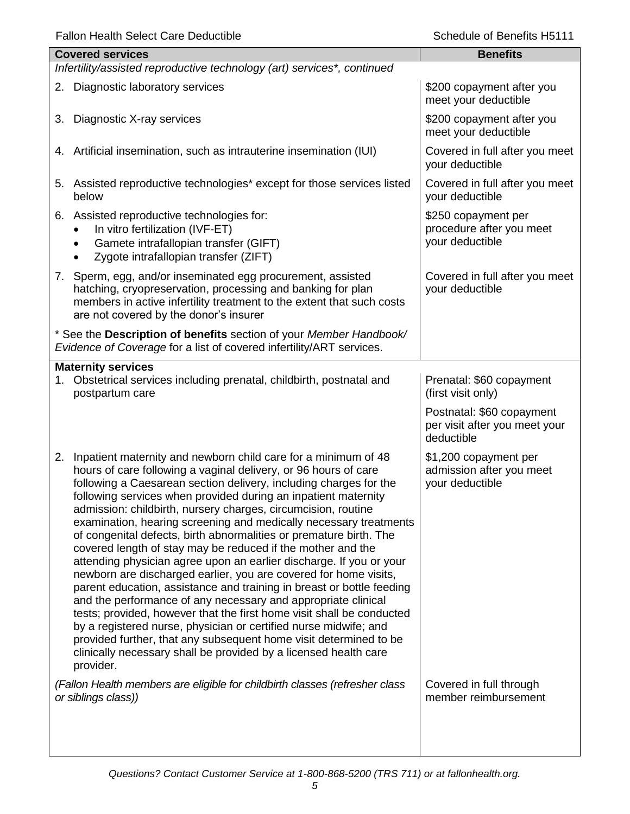|                                                                         | <b>Covered services</b>                                                                                                                                                                                                                                                                                                                                                                                                                                                                                                                                                                                                                                                                                                                                                                                                                                                                                                                                                                                                                                                                                                                        | <b>Benefits</b>                                                          |  |
|-------------------------------------------------------------------------|------------------------------------------------------------------------------------------------------------------------------------------------------------------------------------------------------------------------------------------------------------------------------------------------------------------------------------------------------------------------------------------------------------------------------------------------------------------------------------------------------------------------------------------------------------------------------------------------------------------------------------------------------------------------------------------------------------------------------------------------------------------------------------------------------------------------------------------------------------------------------------------------------------------------------------------------------------------------------------------------------------------------------------------------------------------------------------------------------------------------------------------------|--------------------------------------------------------------------------|--|
| Infertility/assisted reproductive technology (art) services*, continued |                                                                                                                                                                                                                                                                                                                                                                                                                                                                                                                                                                                                                                                                                                                                                                                                                                                                                                                                                                                                                                                                                                                                                |                                                                          |  |
|                                                                         | 2. Diagnostic laboratory services                                                                                                                                                                                                                                                                                                                                                                                                                                                                                                                                                                                                                                                                                                                                                                                                                                                                                                                                                                                                                                                                                                              | \$200 copayment after you<br>meet your deductible                        |  |
| 3.                                                                      | Diagnostic X-ray services                                                                                                                                                                                                                                                                                                                                                                                                                                                                                                                                                                                                                                                                                                                                                                                                                                                                                                                                                                                                                                                                                                                      | \$200 copayment after you<br>meet your deductible                        |  |
|                                                                         | 4. Artificial insemination, such as intrauterine insemination (IUI)                                                                                                                                                                                                                                                                                                                                                                                                                                                                                                                                                                                                                                                                                                                                                                                                                                                                                                                                                                                                                                                                            | Covered in full after you meet<br>your deductible                        |  |
|                                                                         | 5. Assisted reproductive technologies* except for those services listed<br>below                                                                                                                                                                                                                                                                                                                                                                                                                                                                                                                                                                                                                                                                                                                                                                                                                                                                                                                                                                                                                                                               | Covered in full after you meet<br>your deductible                        |  |
|                                                                         | 6. Assisted reproductive technologies for:<br>In vitro fertilization (IVF-ET)<br>Gamete intrafallopian transfer (GIFT)<br>Zygote intrafallopian transfer (ZIFT)                                                                                                                                                                                                                                                                                                                                                                                                                                                                                                                                                                                                                                                                                                                                                                                                                                                                                                                                                                                | \$250 copayment per<br>procedure after you meet<br>your deductible       |  |
|                                                                         | 7. Sperm, egg, and/or inseminated egg procurement, assisted<br>hatching, cryopreservation, processing and banking for plan<br>members in active infertility treatment to the extent that such costs<br>are not covered by the donor's insurer                                                                                                                                                                                                                                                                                                                                                                                                                                                                                                                                                                                                                                                                                                                                                                                                                                                                                                  | Covered in full after you meet<br>your deductible                        |  |
|                                                                         | * See the Description of benefits section of your Member Handbook/<br>Evidence of Coverage for a list of covered infertility/ART services.                                                                                                                                                                                                                                                                                                                                                                                                                                                                                                                                                                                                                                                                                                                                                                                                                                                                                                                                                                                                     |                                                                          |  |
|                                                                         | <b>Maternity services</b>                                                                                                                                                                                                                                                                                                                                                                                                                                                                                                                                                                                                                                                                                                                                                                                                                                                                                                                                                                                                                                                                                                                      |                                                                          |  |
| 1.                                                                      | Obstetrical services including prenatal, childbirth, postnatal and<br>postpartum care                                                                                                                                                                                                                                                                                                                                                                                                                                                                                                                                                                                                                                                                                                                                                                                                                                                                                                                                                                                                                                                          | Prenatal: \$60 copayment<br>(first visit only)                           |  |
|                                                                         |                                                                                                                                                                                                                                                                                                                                                                                                                                                                                                                                                                                                                                                                                                                                                                                                                                                                                                                                                                                                                                                                                                                                                | Postnatal: \$60 copayment<br>per visit after you meet your<br>deductible |  |
|                                                                         | 2. Inpatient maternity and newborn child care for a minimum of 48<br>hours of care following a vaginal delivery, or 96 hours of care<br>following a Caesarean section delivery, including charges for the<br>following services when provided during an inpatient maternity<br>admission: childbirth, nursery charges, circumcision, routine<br>examination, hearing screening and medically necessary treatments<br>of congenital defects, birth abnormalities or premature birth. The<br>covered length of stay may be reduced if the mother and the<br>attending physician agree upon an earlier discharge. If you or your<br>newborn are discharged earlier, you are covered for home visits,<br>parent education, assistance and training in breast or bottle feeding<br>and the performance of any necessary and appropriate clinical<br>tests; provided, however that the first home visit shall be conducted<br>by a registered nurse, physician or certified nurse midwife; and<br>provided further, that any subsequent home visit determined to be<br>clinically necessary shall be provided by a licensed health care<br>provider. | \$1,200 copayment per<br>admission after you meet<br>your deductible     |  |
|                                                                         | (Fallon Health members are eligible for childbirth classes (refresher class<br>or siblings class))                                                                                                                                                                                                                                                                                                                                                                                                                                                                                                                                                                                                                                                                                                                                                                                                                                                                                                                                                                                                                                             | Covered in full through<br>member reimbursement                          |  |
|                                                                         |                                                                                                                                                                                                                                                                                                                                                                                                                                                                                                                                                                                                                                                                                                                                                                                                                                                                                                                                                                                                                                                                                                                                                |                                                                          |  |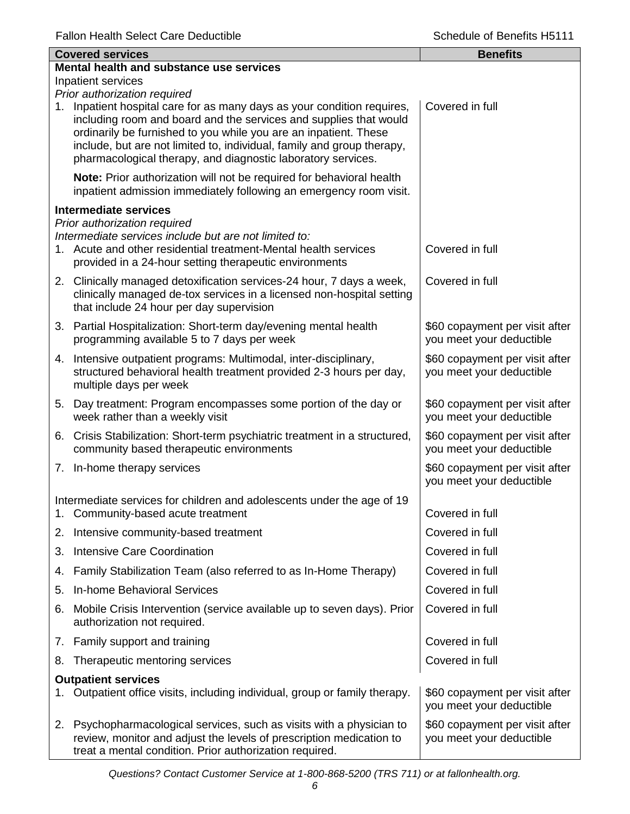| <b>Covered services</b>    |                                                                                                                                                                                                                                                                                                                                                                                         | <b>Benefits</b>                                            |  |  |
|----------------------------|-----------------------------------------------------------------------------------------------------------------------------------------------------------------------------------------------------------------------------------------------------------------------------------------------------------------------------------------------------------------------------------------|------------------------------------------------------------|--|--|
|                            | Mental health and substance use services                                                                                                                                                                                                                                                                                                                                                |                                                            |  |  |
| Inpatient services         |                                                                                                                                                                                                                                                                                                                                                                                         |                                                            |  |  |
| 1.                         | Prior authorization required<br>Inpatient hospital care for as many days as your condition requires,<br>including room and board and the services and supplies that would<br>ordinarily be furnished to you while you are an inpatient. These<br>include, but are not limited to, individual, family and group therapy,<br>pharmacological therapy, and diagnostic laboratory services. | Covered in full                                            |  |  |
|                            | Note: Prior authorization will not be required for behavioral health<br>inpatient admission immediately following an emergency room visit.                                                                                                                                                                                                                                              |                                                            |  |  |
|                            | <b>Intermediate services</b>                                                                                                                                                                                                                                                                                                                                                            |                                                            |  |  |
|                            | Prior authorization required<br>Intermediate services include but are not limited to:<br>1. Acute and other residential treatment-Mental health services<br>provided in a 24-hour setting therapeutic environments                                                                                                                                                                      | Covered in full                                            |  |  |
|                            | 2. Clinically managed detoxification services-24 hour, 7 days a week,<br>clinically managed de-tox services in a licensed non-hospital setting<br>that include 24 hour per day supervision                                                                                                                                                                                              | Covered in full                                            |  |  |
|                            | 3. Partial Hospitalization: Short-term day/evening mental health<br>programming available 5 to 7 days per week                                                                                                                                                                                                                                                                          | \$60 copayment per visit after<br>you meet your deductible |  |  |
|                            | 4. Intensive outpatient programs: Multimodal, inter-disciplinary,<br>structured behavioral health treatment provided 2-3 hours per day,<br>multiple days per week                                                                                                                                                                                                                       | \$60 copayment per visit after<br>you meet your deductible |  |  |
|                            | 5. Day treatment: Program encompasses some portion of the day or<br>week rather than a weekly visit                                                                                                                                                                                                                                                                                     | \$60 copayment per visit after<br>you meet your deductible |  |  |
|                            | 6. Crisis Stabilization: Short-term psychiatric treatment in a structured,<br>community based therapeutic environments                                                                                                                                                                                                                                                                  | \$60 copayment per visit after<br>you meet your deductible |  |  |
|                            | 7. In-home therapy services                                                                                                                                                                                                                                                                                                                                                             | \$60 copayment per visit after<br>you meet your deductible |  |  |
| $1_{\cdot}$                | Intermediate services for children and adolescents under the age of 19<br>Community-based acute treatment                                                                                                                                                                                                                                                                               | Covered in full                                            |  |  |
| 2.                         | Intensive community-based treatment                                                                                                                                                                                                                                                                                                                                                     | Covered in full                                            |  |  |
| 3.                         | <b>Intensive Care Coordination</b>                                                                                                                                                                                                                                                                                                                                                      | Covered in full                                            |  |  |
| 4.                         | Family Stabilization Team (also referred to as In-Home Therapy)                                                                                                                                                                                                                                                                                                                         | Covered in full                                            |  |  |
| 5.                         | In-home Behavioral Services                                                                                                                                                                                                                                                                                                                                                             | Covered in full                                            |  |  |
| 6.                         | Mobile Crisis Intervention (service available up to seven days). Prior<br>authorization not required.                                                                                                                                                                                                                                                                                   | Covered in full                                            |  |  |
|                            | 7. Family support and training                                                                                                                                                                                                                                                                                                                                                          | Covered in full                                            |  |  |
| 8.                         | Therapeutic mentoring services                                                                                                                                                                                                                                                                                                                                                          | Covered in full                                            |  |  |
| <b>Outpatient services</b> |                                                                                                                                                                                                                                                                                                                                                                                         |                                                            |  |  |
| 1.                         | Outpatient office visits, including individual, group or family therapy.                                                                                                                                                                                                                                                                                                                | \$60 copayment per visit after<br>you meet your deductible |  |  |
|                            | 2. Psychopharmacological services, such as visits with a physician to<br>review, monitor and adjust the levels of prescription medication to<br>treat a mental condition. Prior authorization required.                                                                                                                                                                                 | \$60 copayment per visit after<br>you meet your deductible |  |  |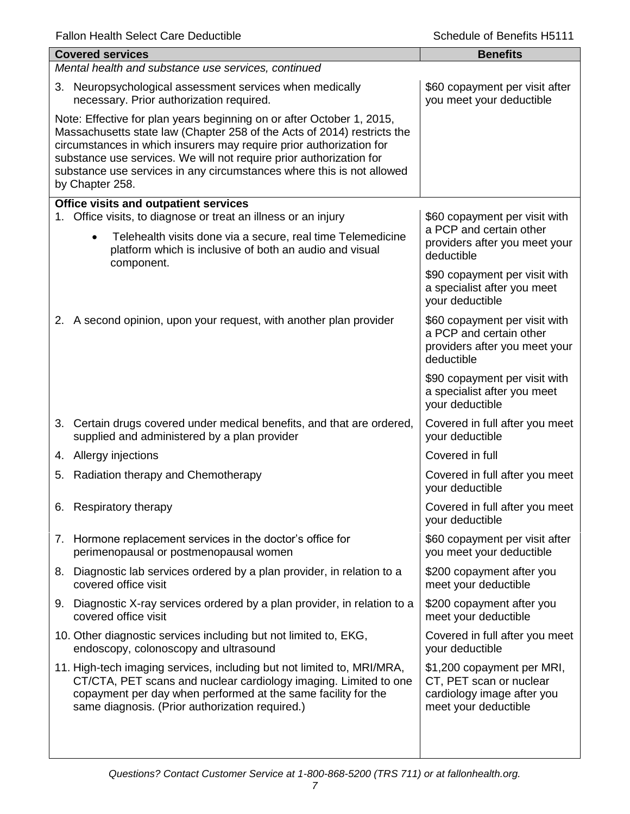| <b>Covered services</b>                                                                                                                                                                                                                                                                                                                                                                    | <b>Benefits</b>                                                                                             |  |  |
|--------------------------------------------------------------------------------------------------------------------------------------------------------------------------------------------------------------------------------------------------------------------------------------------------------------------------------------------------------------------------------------------|-------------------------------------------------------------------------------------------------------------|--|--|
| Mental health and substance use services, continued                                                                                                                                                                                                                                                                                                                                        |                                                                                                             |  |  |
| 3. Neuropsychological assessment services when medically<br>necessary. Prior authorization required.                                                                                                                                                                                                                                                                                       | \$60 copayment per visit after<br>you meet your deductible                                                  |  |  |
| Note: Effective for plan years beginning on or after October 1, 2015,<br>Massachusetts state law (Chapter 258 of the Acts of 2014) restricts the<br>circumstances in which insurers may require prior authorization for<br>substance use services. We will not require prior authorization for<br>substance use services in any circumstances where this is not allowed<br>by Chapter 258. |                                                                                                             |  |  |
| Office visits and outpatient services                                                                                                                                                                                                                                                                                                                                                      |                                                                                                             |  |  |
| 1. Office visits, to diagnose or treat an illness or an injury<br>Telehealth visits done via a secure, real time Telemedicine<br>$\bullet$<br>platform which is inclusive of both an audio and visual                                                                                                                                                                                      | \$60 copayment per visit with<br>a PCP and certain other<br>providers after you meet your<br>deductible     |  |  |
| component.                                                                                                                                                                                                                                                                                                                                                                                 | \$90 copayment per visit with<br>a specialist after you meet<br>your deductible                             |  |  |
| 2. A second opinion, upon your request, with another plan provider                                                                                                                                                                                                                                                                                                                         | \$60 copayment per visit with<br>a PCP and certain other<br>providers after you meet your<br>deductible     |  |  |
|                                                                                                                                                                                                                                                                                                                                                                                            | \$90 copayment per visit with<br>a specialist after you meet<br>your deductible                             |  |  |
| 3. Certain drugs covered under medical benefits, and that are ordered,<br>supplied and administered by a plan provider                                                                                                                                                                                                                                                                     | Covered in full after you meet<br>your deductible                                                           |  |  |
| 4. Allergy injections                                                                                                                                                                                                                                                                                                                                                                      | Covered in full                                                                                             |  |  |
| Radiation therapy and Chemotherapy<br>5.                                                                                                                                                                                                                                                                                                                                                   | Covered in full after you meet<br>your deductible                                                           |  |  |
| 6. Respiratory therapy                                                                                                                                                                                                                                                                                                                                                                     | Covered in full after you meet<br>your deductible                                                           |  |  |
| 7. Hormone replacement services in the doctor's office for<br>perimenopausal or postmenopausal women                                                                                                                                                                                                                                                                                       | \$60 copayment per visit after<br>you meet your deductible                                                  |  |  |
| 8. Diagnostic lab services ordered by a plan provider, in relation to a<br>covered office visit                                                                                                                                                                                                                                                                                            | \$200 copayment after you<br>meet your deductible                                                           |  |  |
| 9. Diagnostic X-ray services ordered by a plan provider, in relation to a<br>covered office visit                                                                                                                                                                                                                                                                                          | \$200 copayment after you<br>meet your deductible                                                           |  |  |
| 10. Other diagnostic services including but not limited to, EKG,<br>endoscopy, colonoscopy and ultrasound                                                                                                                                                                                                                                                                                  | Covered in full after you meet<br>your deductible                                                           |  |  |
| 11. High-tech imaging services, including but not limited to, MRI/MRA,<br>CT/CTA, PET scans and nuclear cardiology imaging. Limited to one<br>copayment per day when performed at the same facility for the<br>same diagnosis. (Prior authorization required.)                                                                                                                             | \$1,200 copayment per MRI,<br>CT, PET scan or nuclear<br>cardiology image after you<br>meet your deductible |  |  |
|                                                                                                                                                                                                                                                                                                                                                                                            |                                                                                                             |  |  |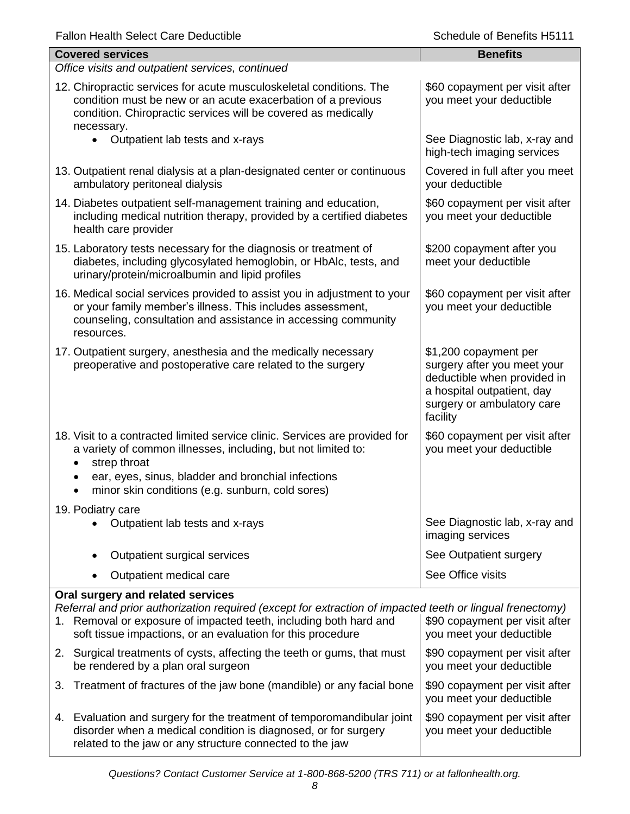| <b>Fallon Health Select Care Deductible</b> |  |  |
|---------------------------------------------|--|--|
|---------------------------------------------|--|--|

| <b>Fallon Health Select Care Deductible</b>                                                                                                                                                                                                                                        | Schedule of Benefits H5111                                                                                                                                  |  |  |
|------------------------------------------------------------------------------------------------------------------------------------------------------------------------------------------------------------------------------------------------------------------------------------|-------------------------------------------------------------------------------------------------------------------------------------------------------------|--|--|
| <b>Covered services</b>                                                                                                                                                                                                                                                            | <b>Benefits</b>                                                                                                                                             |  |  |
| Office visits and outpatient services, continued                                                                                                                                                                                                                                   |                                                                                                                                                             |  |  |
| 12. Chiropractic services for acute musculoskeletal conditions. The<br>condition must be new or an acute exacerbation of a previous<br>condition. Chiropractic services will be covered as medically<br>necessary.                                                                 | \$60 copayment per visit after<br>you meet your deductible                                                                                                  |  |  |
| Outpatient lab tests and x-rays<br>$\bullet$                                                                                                                                                                                                                                       | See Diagnostic lab, x-ray and<br>high-tech imaging services                                                                                                 |  |  |
| 13. Outpatient renal dialysis at a plan-designated center or continuous<br>ambulatory peritoneal dialysis                                                                                                                                                                          | Covered in full after you meet<br>your deductible                                                                                                           |  |  |
| 14. Diabetes outpatient self-management training and education,<br>including medical nutrition therapy, provided by a certified diabetes<br>health care provider                                                                                                                   | \$60 copayment per visit after<br>you meet your deductible                                                                                                  |  |  |
| 15. Laboratory tests necessary for the diagnosis or treatment of<br>diabetes, including glycosylated hemoglobin, or HbAlc, tests, and<br>urinary/protein/microalbumin and lipid profiles                                                                                           | \$200 copayment after you<br>meet your deductible                                                                                                           |  |  |
| 16. Medical social services provided to assist you in adjustment to your<br>or your family member's illness. This includes assessment,<br>counseling, consultation and assistance in accessing community<br>resources.                                                             | \$60 copayment per visit after<br>you meet your deductible                                                                                                  |  |  |
| 17. Outpatient surgery, anesthesia and the medically necessary<br>preoperative and postoperative care related to the surgery                                                                                                                                                       | \$1,200 copayment per<br>surgery after you meet your<br>deductible when provided in<br>a hospital outpatient, day<br>surgery or ambulatory care<br>facility |  |  |
| 18. Visit to a contracted limited service clinic. Services are provided for<br>a variety of common illnesses, including, but not limited to:<br>strep throat<br>ear, eyes, sinus, bladder and bronchial infections                                                                 | \$60 copayment per visit after<br>you meet your deductible                                                                                                  |  |  |
| minor skin conditions (e.g. sunburn, cold sores)                                                                                                                                                                                                                                   |                                                                                                                                                             |  |  |
| 19. Podiatry care<br>Outpatient lab tests and x-rays                                                                                                                                                                                                                               | See Diagnostic lab, x-ray and<br>imaging services                                                                                                           |  |  |
| Outpatient surgical services                                                                                                                                                                                                                                                       | See Outpatient surgery                                                                                                                                      |  |  |
| Outpatient medical care                                                                                                                                                                                                                                                            | See Office visits                                                                                                                                           |  |  |
| Oral surgery and related services<br>Referral and prior authorization required (except for extraction of impacted teeth or lingual frenectomy)<br>1. Removal or exposure of impacted teeth, including both hard and<br>soft tissue impactions, or an evaluation for this procedure | \$90 copayment per visit after<br>you meet your deductible                                                                                                  |  |  |
| 2. Surgical treatments of cysts, affecting the teeth or gums, that must<br>be rendered by a plan oral surgeon                                                                                                                                                                      | \$90 copayment per visit after<br>you meet your deductible                                                                                                  |  |  |
| Treatment of fractures of the jaw bone (mandible) or any facial bone<br>3.                                                                                                                                                                                                         | \$90 copayment per visit after<br>you meet your deductible                                                                                                  |  |  |
| 4. Evaluation and surgery for the treatment of temporomandibular joint<br>disorder when a medical condition is diagnosed, or for surgery                                                                                                                                           | \$90 copayment per visit after<br>you meet your deductible                                                                                                  |  |  |

related to the jaw or any structure connected to the jaw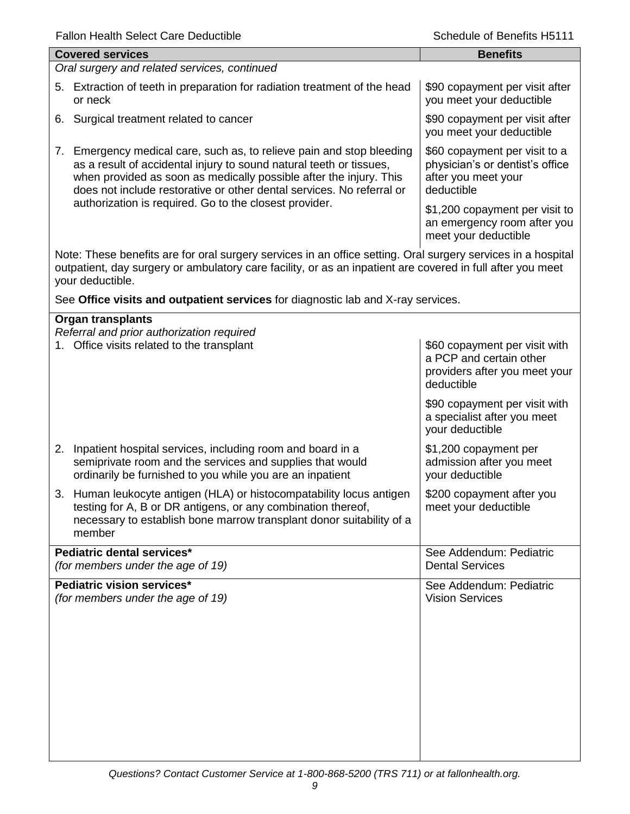| <b>Fallon Health Select Care Deductible</b>                                                                                                                                                                                                                                                    | Schedule of Benefits H5111                                                                              |
|------------------------------------------------------------------------------------------------------------------------------------------------------------------------------------------------------------------------------------------------------------------------------------------------|---------------------------------------------------------------------------------------------------------|
| <b>Covered services</b>                                                                                                                                                                                                                                                                        | <b>Benefits</b>                                                                                         |
| Oral surgery and related services, continued                                                                                                                                                                                                                                                   |                                                                                                         |
| 5. Extraction of teeth in preparation for radiation treatment of the head<br>or neck                                                                                                                                                                                                           | \$90 copayment per visit after<br>you meet your deductible                                              |
| 6. Surgical treatment related to cancer                                                                                                                                                                                                                                                        | \$90 copayment per visit after<br>you meet your deductible                                              |
| Emergency medical care, such as, to relieve pain and stop bleeding<br>7.<br>as a result of accidental injury to sound natural teeth or tissues,<br>when provided as soon as medically possible after the injury. This<br>does not include restorative or other dental services. No referral or | \$60 copayment per visit to a<br>physician's or dentist's office<br>after you meet your<br>deductible   |
| authorization is required. Go to the closest provider.                                                                                                                                                                                                                                         | \$1,200 copayment per visit to<br>an emergency room after you<br>meet your deductible                   |
| Note: These benefits are for oral surgery services in an office setting. Oral surgery services in a hospital<br>outpatient, day surgery or ambulatory care facility, or as an inpatient are covered in full after you meet<br>your deductible.                                                 |                                                                                                         |
| See Office visits and outpatient services for diagnostic lab and X-ray services.                                                                                                                                                                                                               |                                                                                                         |
| <b>Organ transplants</b>                                                                                                                                                                                                                                                                       |                                                                                                         |
| Referral and prior authorization required<br>1. Office visits related to the transplant                                                                                                                                                                                                        | \$60 copayment per visit with<br>a PCP and certain other<br>providers after you meet your<br>deductible |
|                                                                                                                                                                                                                                                                                                | \$90 copayment per visit with<br>a specialist after you meet<br>your deductible                         |
| 2. Inpatient hospital services, including room and board in a<br>semiprivate room and the services and supplies that would<br>ordinarily be furnished to you while you are an inpatient                                                                                                        | \$1,200 copayment per<br>admission after you meet<br>your deductible                                    |
| 3. Human leukocyte antigen (HLA) or histocompatability locus antigen<br>testing for A, B or DR antigens, or any combination thereof,<br>necessary to establish bone marrow transplant donor suitability of a<br>member                                                                         | \$200 copayment after you<br>meet your deductible                                                       |
| Pediatric dental services*<br>(for members under the age of 19)                                                                                                                                                                                                                                | See Addendum: Pediatric<br><b>Dental Services</b>                                                       |
| Pediatric vision services*<br>(for members under the age of 19)                                                                                                                                                                                                                                | See Addendum: Pediatric<br><b>Vision Services</b>                                                       |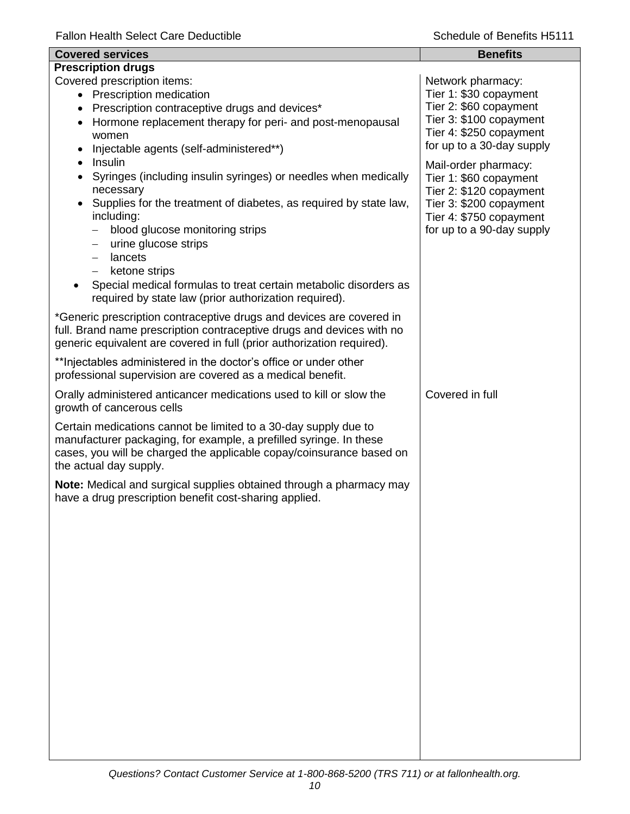| <b>Covered services</b>                                                                                                                                                                                                                                                                                                                                                                                                                                                           | <b>Benefits</b>                                                                                                                                              |
|-----------------------------------------------------------------------------------------------------------------------------------------------------------------------------------------------------------------------------------------------------------------------------------------------------------------------------------------------------------------------------------------------------------------------------------------------------------------------------------|--------------------------------------------------------------------------------------------------------------------------------------------------------------|
| <b>Prescription drugs</b>                                                                                                                                                                                                                                                                                                                                                                                                                                                         |                                                                                                                                                              |
| Covered prescription items:<br>• Prescription medication<br>Prescription contraceptive drugs and devices*<br>$\bullet$<br>Hormone replacement therapy for peri- and post-menopausal<br>$\bullet$<br>women<br>Injectable agents (self-administered**)                                                                                                                                                                                                                              | Network pharmacy:<br>Tier 1: \$30 copayment<br>Tier 2: \$60 copayment<br>Tier 3: \$100 copayment<br>Tier 4: \$250 copayment<br>for up to a 30-day supply     |
| Insulin<br>$\bullet$<br>Syringes (including insulin syringes) or needles when medically<br>necessary<br>Supplies for the treatment of diabetes, as required by state law,<br>including:<br>blood glucose monitoring strips<br>urine glucose strips<br>$\qquad \qquad -$<br>lancets<br>$\qquad \qquad -$<br>ketone strips<br>$\overline{\phantom{0}}$<br>Special medical formulas to treat certain metabolic disorders as<br>required by state law (prior authorization required). | Mail-order pharmacy:<br>Tier 1: \$60 copayment<br>Tier 2: \$120 copayment<br>Tier 3: \$200 copayment<br>Tier 4: \$750 copayment<br>for up to a 90-day supply |
| *Generic prescription contraceptive drugs and devices are covered in<br>full. Brand name prescription contraceptive drugs and devices with no<br>generic equivalent are covered in full (prior authorization required).                                                                                                                                                                                                                                                           |                                                                                                                                                              |
| ** Injectables administered in the doctor's office or under other<br>professional supervision are covered as a medical benefit.                                                                                                                                                                                                                                                                                                                                                   |                                                                                                                                                              |
| Orally administered anticancer medications used to kill or slow the<br>growth of cancerous cells                                                                                                                                                                                                                                                                                                                                                                                  | Covered in full                                                                                                                                              |
| Certain medications cannot be limited to a 30-day supply due to<br>manufacturer packaging, for example, a prefilled syringe. In these<br>cases, you will be charged the applicable copay/coinsurance based on<br>the actual day supply.                                                                                                                                                                                                                                           |                                                                                                                                                              |
| Note: Medical and surgical supplies obtained through a pharmacy may<br>have a drug prescription benefit cost-sharing applied.                                                                                                                                                                                                                                                                                                                                                     |                                                                                                                                                              |
|                                                                                                                                                                                                                                                                                                                                                                                                                                                                                   |                                                                                                                                                              |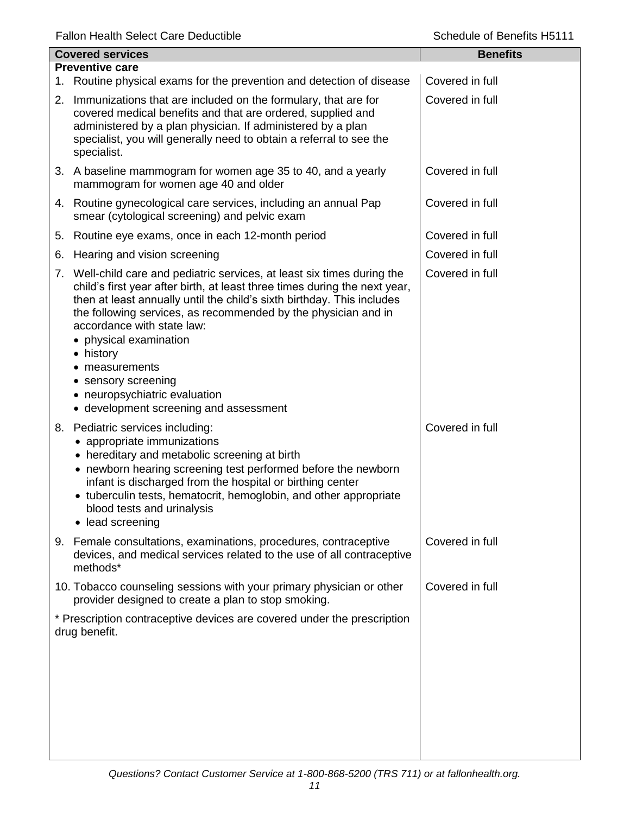| <b>Covered services</b> |                                                                                                                                                                                                                                                                                                                                                                                                                                                                                                      | <b>Benefits</b> |
|-------------------------|------------------------------------------------------------------------------------------------------------------------------------------------------------------------------------------------------------------------------------------------------------------------------------------------------------------------------------------------------------------------------------------------------------------------------------------------------------------------------------------------------|-----------------|
|                         | <b>Preventive care</b><br>1. Routine physical exams for the prevention and detection of disease                                                                                                                                                                                                                                                                                                                                                                                                      | Covered in full |
|                         | 2. Immunizations that are included on the formulary, that are for<br>covered medical benefits and that are ordered, supplied and<br>administered by a plan physician. If administered by a plan<br>specialist, you will generally need to obtain a referral to see the<br>specialist.                                                                                                                                                                                                                | Covered in full |
|                         | 3. A baseline mammogram for women age 35 to 40, and a yearly<br>mammogram for women age 40 and older                                                                                                                                                                                                                                                                                                                                                                                                 | Covered in full |
|                         | 4. Routine gynecological care services, including an annual Pap<br>smear (cytological screening) and pelvic exam                                                                                                                                                                                                                                                                                                                                                                                     | Covered in full |
|                         | 5. Routine eye exams, once in each 12-month period                                                                                                                                                                                                                                                                                                                                                                                                                                                   | Covered in full |
| 6.                      | Hearing and vision screening                                                                                                                                                                                                                                                                                                                                                                                                                                                                         | Covered in full |
|                         | 7. Well-child care and pediatric services, at least six times during the<br>child's first year after birth, at least three times during the next year,<br>then at least annually until the child's sixth birthday. This includes<br>the following services, as recommended by the physician and in<br>accordance with state law:<br>• physical examination<br>• history<br>measurements<br>sensory screening<br>$\bullet$<br>• neuropsychiatric evaluation<br>• development screening and assessment | Covered in full |
|                         | 8. Pediatric services including:<br>• appropriate immunizations<br>hereditary and metabolic screening at birth<br>• newborn hearing screening test performed before the newborn<br>infant is discharged from the hospital or birthing center<br>• tuberculin tests, hematocrit, hemoglobin, and other appropriate<br>blood tests and urinalysis<br>• lead screening                                                                                                                                  | Covered in full |
|                         | 9. Female consultations, examinations, procedures, contraceptive<br>devices, and medical services related to the use of all contraceptive<br>methods*                                                                                                                                                                                                                                                                                                                                                | Covered in full |
|                         | 10. Tobacco counseling sessions with your primary physician or other<br>provider designed to create a plan to stop smoking.                                                                                                                                                                                                                                                                                                                                                                          | Covered in full |
|                         | * Prescription contraceptive devices are covered under the prescription<br>drug benefit.                                                                                                                                                                                                                                                                                                                                                                                                             |                 |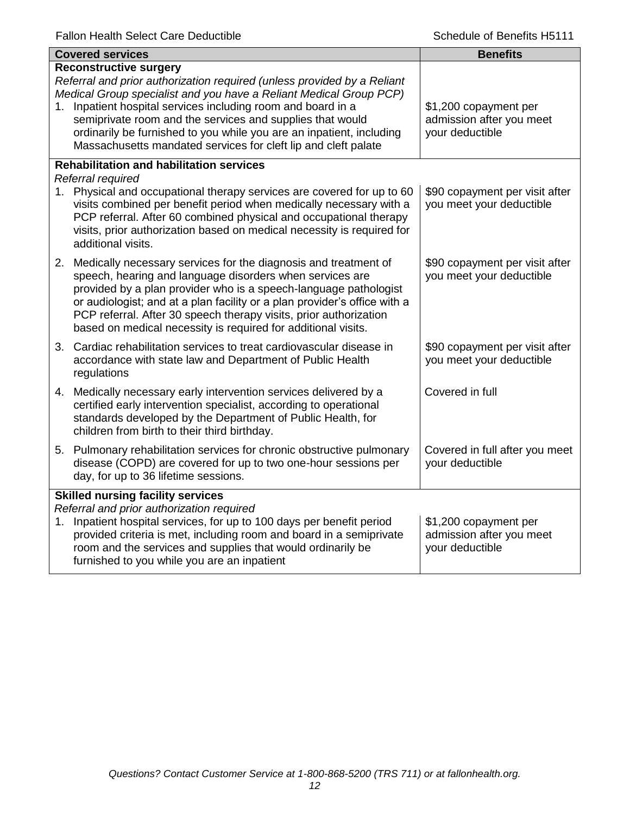|    | <b>Covered services</b>                                                                                                                                                                                                                                                                                                                                                                                                                            | <b>Benefits</b>                                                      |
|----|----------------------------------------------------------------------------------------------------------------------------------------------------------------------------------------------------------------------------------------------------------------------------------------------------------------------------------------------------------------------------------------------------------------------------------------------------|----------------------------------------------------------------------|
| 1. | <b>Reconstructive surgery</b><br>Referral and prior authorization required (unless provided by a Reliant<br>Medical Group specialist and you have a Reliant Medical Group PCP)<br>Inpatient hospital services including room and board in a<br>semiprivate room and the services and supplies that would<br>ordinarily be furnished to you while you are an inpatient, including<br>Massachusetts mandated services for cleft lip and cleft palate | \$1,200 copayment per<br>admission after you meet<br>your deductible |
|    | <b>Rehabilitation and habilitation services</b><br>Referral required                                                                                                                                                                                                                                                                                                                                                                               |                                                                      |
|    | 1. Physical and occupational therapy services are covered for up to 60<br>visits combined per benefit period when medically necessary with a<br>PCP referral. After 60 combined physical and occupational therapy<br>visits, prior authorization based on medical necessity is required for<br>additional visits.                                                                                                                                  | \$90 copayment per visit after<br>you meet your deductible           |
|    | 2. Medically necessary services for the diagnosis and treatment of<br>speech, hearing and language disorders when services are<br>provided by a plan provider who is a speech-language pathologist<br>or audiologist; and at a plan facility or a plan provider's office with a<br>PCP referral. After 30 speech therapy visits, prior authorization<br>based on medical necessity is required for additional visits.                              | \$90 copayment per visit after<br>you meet your deductible           |
|    | 3. Cardiac rehabilitation services to treat cardiovascular disease in<br>accordance with state law and Department of Public Health<br>regulations                                                                                                                                                                                                                                                                                                  | \$90 copayment per visit after<br>you meet your deductible           |
|    | 4. Medically necessary early intervention services delivered by a<br>certified early intervention specialist, according to operational<br>standards developed by the Department of Public Health, for<br>children from birth to their third birthday.                                                                                                                                                                                              | Covered in full                                                      |
|    | 5. Pulmonary rehabilitation services for chronic obstructive pulmonary<br>disease (COPD) are covered for up to two one-hour sessions per<br>day, for up to 36 lifetime sessions.                                                                                                                                                                                                                                                                   | Covered in full after you meet<br>your deductible                    |
| 1. | <b>Skilled nursing facility services</b><br>Referral and prior authorization required<br>Inpatient hospital services, for up to 100 days per benefit period<br>provided criteria is met, including room and board in a semiprivate<br>room and the services and supplies that would ordinarily be<br>furnished to you while you are an inpatient                                                                                                   | \$1,200 copayment per<br>admission after you meet<br>your deductible |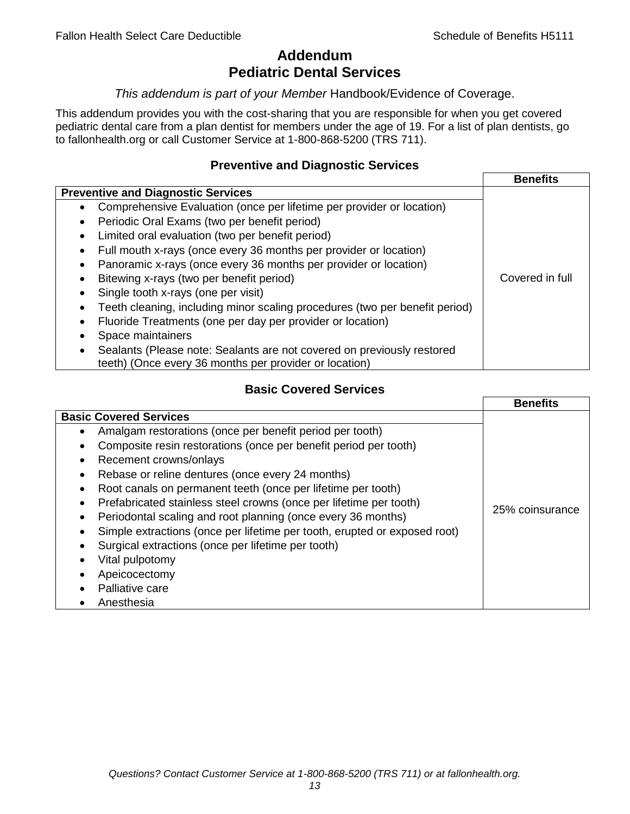# **Addendum Pediatric Dental Services**

#### *This addendum is part of your Member* Handbook/Evidence of Coverage.

This addendum provides you with the cost-sharing that you are responsible for when you get covered pediatric dental care from a plan dentist for members under the age of 19. For a list of plan dentists, go to fallonhealth.org or call Customer Service at 1-800-868-5200 (TRS 711).

#### **Preventive and Diagnostic Services**

|                                                                             | <b>Benefits</b> |
|-----------------------------------------------------------------------------|-----------------|
| <b>Preventive and Diagnostic Services</b>                                   |                 |
| Comprehensive Evaluation (once per lifetime per provider or location)<br>٠  |                 |
| Periodic Oral Exams (two per benefit period)<br>٠                           |                 |
| Limited oral evaluation (two per benefit period)<br>$\bullet$               |                 |
| Full mouth x-rays (once every 36 months per provider or location)           |                 |
| Panoramic x-rays (once every 36 months per provider or location)            |                 |
| Bitewing x-rays (two per benefit period)<br>٠                               | Covered in full |
| Single tooth x-rays (one per visit)                                         |                 |
| Teeth cleaning, including minor scaling procedures (two per benefit period) |                 |
| Fluoride Treatments (one per day per provider or location)<br>٠             |                 |
| Space maintainers                                                           |                 |
| Sealants (Please note: Sealants are not covered on previously restored      |                 |
| teeth) (Once every 36 months per provider or location)                      |                 |

## **Basic Covered Services**

|                                                                           | <b>Benefits</b> |
|---------------------------------------------------------------------------|-----------------|
| <b>Basic Covered Services</b>                                             |                 |
| Amalgam restorations (once per benefit period per tooth)                  |                 |
| Composite resin restorations (once per benefit period per tooth)          |                 |
| Recement crowns/onlays                                                    |                 |
| Rebase or reline dentures (once every 24 months)                          |                 |
| Root canals on permanent teeth (once per lifetime per tooth)              |                 |
| Prefabricated stainless steel crowns (once per lifetime per tooth)        |                 |
| Periodontal scaling and root planning (once every 36 months)              | 25% coinsurance |
| Simple extractions (once per lifetime per tooth, erupted or exposed root) |                 |
| Surgical extractions (once per lifetime per tooth)                        |                 |
| Vital pulpotomy                                                           |                 |
| Apeicocectomy                                                             |                 |
| Palliative care                                                           |                 |
| Anesthesia                                                                |                 |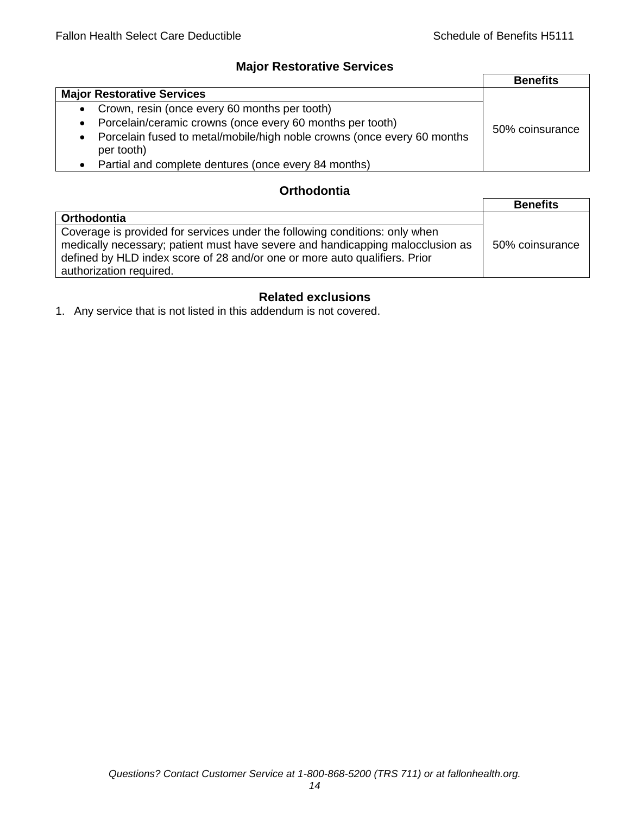## **Major Restorative Services**

|                                                                                                    | <b>Benefits</b> |
|----------------------------------------------------------------------------------------------------|-----------------|
| <b>Major Restorative Services</b>                                                                  |                 |
| • Crown, resin (once every 60 months per tooth)                                                    |                 |
| Porcelain/ceramic crowns (once every 60 months per tooth)<br>$\bullet$                             | 50% coinsurance |
| Porcelain fused to metal/mobile/high noble crowns (once every 60 months<br>$\bullet$<br>per tooth) |                 |
| Partial and complete dentures (once every 84 months)<br>$\bullet$                                  |                 |

## **Orthodontia**

|                                                                                                                                                               | <b>Benefits</b> |
|---------------------------------------------------------------------------------------------------------------------------------------------------------------|-----------------|
| Orthodontia                                                                                                                                                   |                 |
| Coverage is provided for services under the following conditions: only when<br>medically necessary; patient must have severe and handicapping malocclusion as | 50% coinsurance |
| defined by HLD index score of 28 and/or one or more auto qualifiers. Prior<br>authorization required.                                                         |                 |

## **Related exclusions**

1. Any service that is not listed in this addendum is not covered.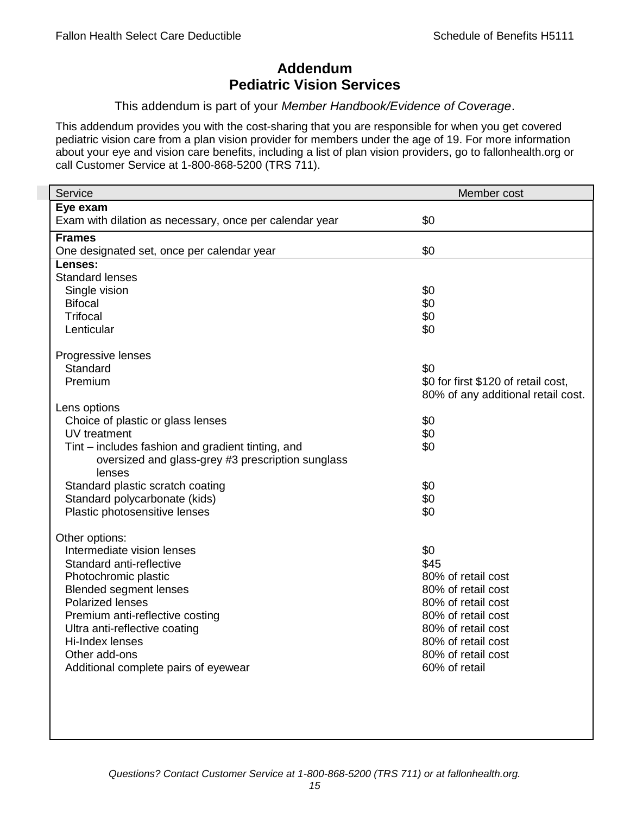## **Addendum Pediatric Vision Services**

#### This addendum is part of your *Member Handbook/Evidence of Coverage*.

This addendum provides you with the cost-sharing that you are responsible for when you get covered pediatric vision care from a plan vision provider for members under the age of 19. For more information about your eye and vision care benefits, including a list of plan vision providers, go to fallonhealth.org or call Customer Service at 1-800-868-5200 (TRS 711).

| Service                                                 | Member cost                         |
|---------------------------------------------------------|-------------------------------------|
| Eye exam                                                |                                     |
| Exam with dilation as necessary, once per calendar year | \$0                                 |
| <b>Frames</b>                                           |                                     |
| One designated set, once per calendar year              | \$0                                 |
| Lenses:                                                 |                                     |
| <b>Standard lenses</b>                                  |                                     |
| Single vision                                           | \$0                                 |
| <b>Bifocal</b>                                          | \$0                                 |
| <b>Trifocal</b>                                         | \$0                                 |
| Lenticular                                              | \$0                                 |
| Progressive lenses                                      |                                     |
| Standard                                                | \$0                                 |
| Premium                                                 | \$0 for first \$120 of retail cost, |
|                                                         | 80% of any additional retail cost.  |
| Lens options                                            |                                     |
| Choice of plastic or glass lenses                       | \$0                                 |
| UV treatment                                            | \$0                                 |
| Tint – includes fashion and gradient tinting, and       | \$0                                 |
| oversized and glass-grey #3 prescription sunglass       |                                     |
| lenses                                                  |                                     |
| Standard plastic scratch coating                        | \$0                                 |
| Standard polycarbonate (kids)                           | \$0                                 |
| Plastic photosensitive lenses                           | \$0                                 |
|                                                         |                                     |
| Other options:<br>Intermediate vision lenses            | \$0                                 |
| Standard anti-reflective                                | \$45                                |
| Photochromic plastic                                    | 80% of retail cost                  |
| <b>Blended segment lenses</b>                           | 80% of retail cost                  |
| <b>Polarized lenses</b>                                 | 80% of retail cost                  |
| Premium anti-reflective costing                         | 80% of retail cost                  |
| Ultra anti-reflective coating                           | 80% of retail cost                  |
| Hi-Index lenses                                         | 80% of retail cost                  |
| Other add-ons                                           | 80% of retail cost                  |
| Additional complete pairs of eyewear                    | 60% of retail                       |
|                                                         |                                     |
|                                                         |                                     |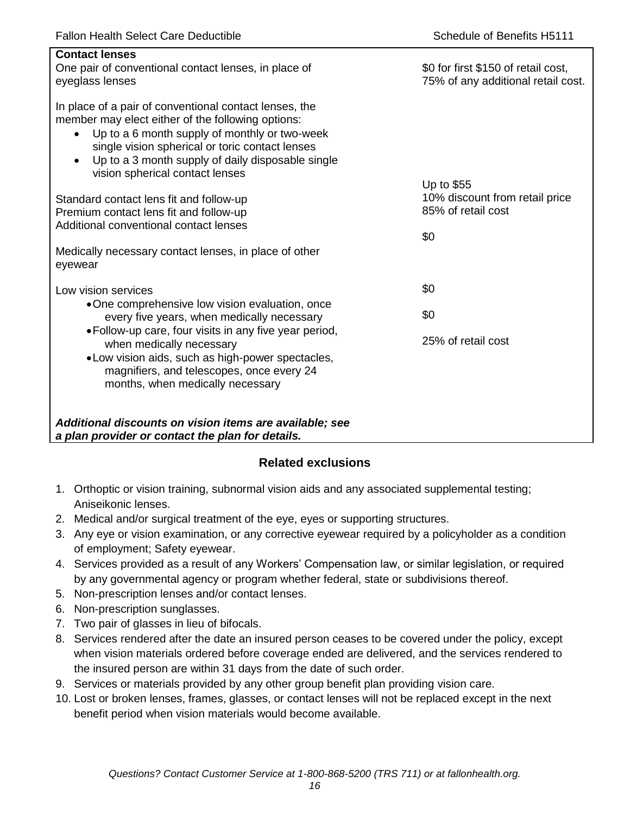| <b>Contact lenses</b><br>One pair of conventional contact lenses, in place of<br>eyeglass lenses                                                                                                                                                                                                                                  | \$0 for first \$150 of retail cost,<br>75% of any additional retail cost. |
|-----------------------------------------------------------------------------------------------------------------------------------------------------------------------------------------------------------------------------------------------------------------------------------------------------------------------------------|---------------------------------------------------------------------------|
| In place of a pair of conventional contact lenses, the<br>member may elect either of the following options:<br>Up to a 6 month supply of monthly or two-week<br>$\bullet$<br>single vision spherical or toric contact lenses<br>Up to a 3 month supply of daily disposable single<br>$\bullet$<br>vision spherical contact lenses |                                                                           |
| Standard contact lens fit and follow-up                                                                                                                                                                                                                                                                                           | Up to \$55<br>10% discount from retail price                              |
| Premium contact lens fit and follow-up                                                                                                                                                                                                                                                                                            | 85% of retail cost                                                        |
| Additional conventional contact lenses                                                                                                                                                                                                                                                                                            | \$0                                                                       |
| Medically necessary contact lenses, in place of other<br>eyewear                                                                                                                                                                                                                                                                  |                                                                           |
| Low vision services                                                                                                                                                                                                                                                                                                               | \$0                                                                       |
| •One comprehensive low vision evaluation, once<br>every five years, when medically necessary                                                                                                                                                                                                                                      | \$0                                                                       |
| • Follow-up care, four visits in any five year period,<br>when medically necessary<br>• Low vision aids, such as high-power spectacles,<br>magnifiers, and telescopes, once every 24<br>months, when medically necessary                                                                                                          | 25% of retail cost                                                        |
| Additional discounts on vision items are available; see<br>a plan provider or contact the plan for details.                                                                                                                                                                                                                       |                                                                           |

## **Related exclusions**

- 1. Orthoptic or vision training, subnormal vision aids and any associated supplemental testing; Aniseikonic lenses.
- 2. Medical and/or surgical treatment of the eye, eyes or supporting structures.
- 3. Any eye or vision examination, or any corrective eyewear required by a policyholder as a condition of employment; Safety eyewear.
- 4. Services provided as a result of any Workers' Compensation law, or similar legislation, or required by any governmental agency or program whether federal, state or subdivisions thereof.
- 5. Non-prescription lenses and/or contact lenses.
- 6. Non-prescription sunglasses.
- 7. Two pair of glasses in lieu of bifocals.
- 8. Services rendered after the date an insured person ceases to be covered under the policy, except when vision materials ordered before coverage ended are delivered, and the services rendered to the insured person are within 31 days from the date of such order.
- 9. Services or materials provided by any other group benefit plan providing vision care.
- 10. Lost or broken lenses, frames, glasses, or contact lenses will not be replaced except in the next benefit period when vision materials would become available.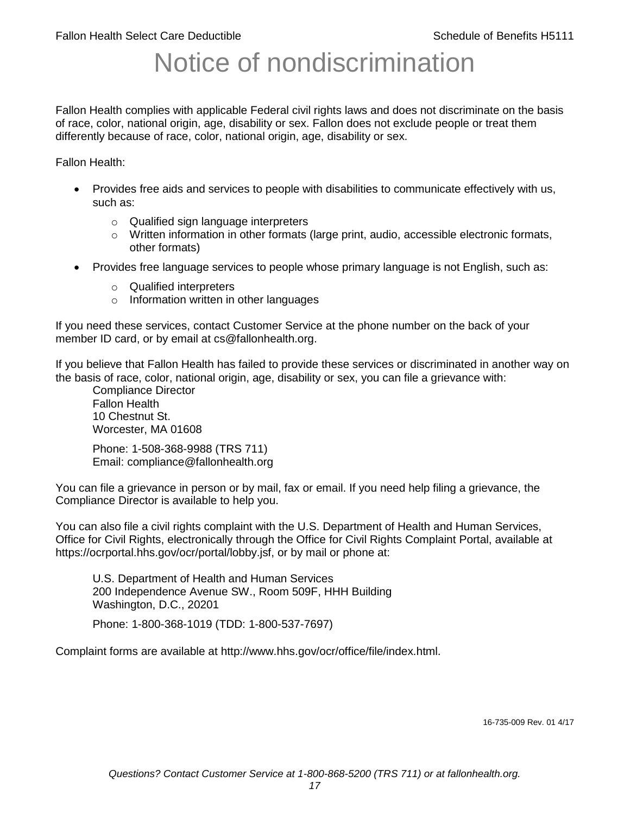# Notice of nondiscrimination

Fallon Health complies with applicable Federal civil rights laws and does not discriminate on the basis of race, color, national origin, age, disability or sex. Fallon does not exclude people or treat them differently because of race, color, national origin, age, disability or sex.

Fallon Health:

- Provides free aids and services to people with disabilities to communicate effectively with us, such as:
	- o Qualified sign language interpreters
	- $\circ$  Written information in other formats (large print, audio, accessible electronic formats, other formats)
- Provides free language services to people whose primary language is not English, such as:
	- o Qualified interpreters
	- o Information written in other languages

If you need these services, contact Customer Service at the phone number on the back of your member ID card, or by email at cs@fallonhealth.org.

If you believe that Fallon Health has failed to provide these services or discriminated in another way on the basis of race, color, national origin, age, disability or sex, you can file a grievance with:

Compliance Director Fallon Health 10 Chestnut St. Worcester, MA 01608

Phone: 1-508-368-9988 (TRS 711) Email: compliance@fallonhealth.org

You can file a grievance in person or by mail, fax or email. If you need help filing a grievance, the Compliance Director is available to help you.

You can also file a civil rights complaint with the U.S. Department of Health and Human Services, Office for Civil Rights, electronically through the Office for Civil Rights Complaint Portal, available at https://ocrportal.hhs.gov/ocr/portal/lobby.jsf, or by mail or phone at:

U.S. Department of Health and Human Services 200 Independence Avenue SW., Room 509F, HHH Building Washington, D.C., 20201

Phone: 1-800-368-1019 (TDD: 1-800-537-7697)

Complaint forms are available at http://www.hhs.gov/ocr/office/file/index.html.

16-735-009 Rev. 01 4/17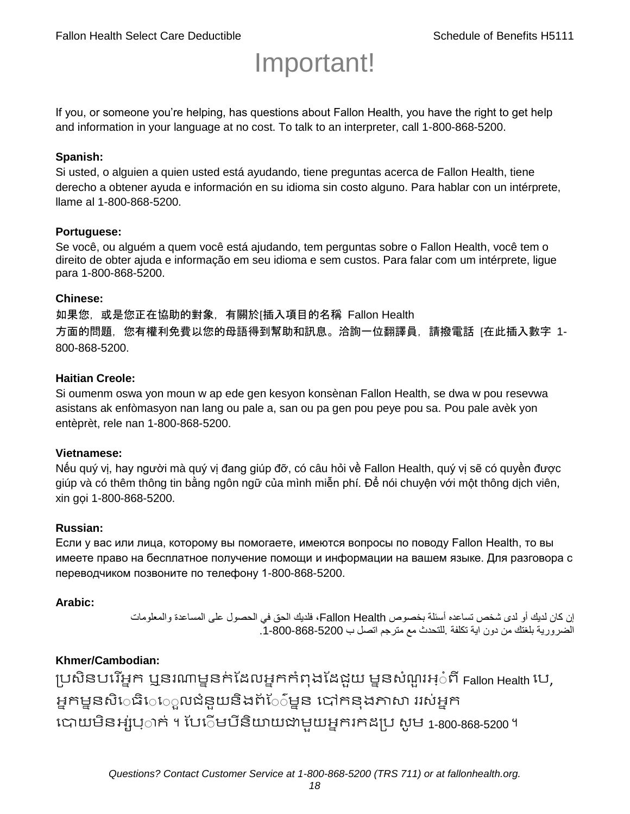# Important!

If you, or someone you're helping, has questions about Fallon Health, you have the right to get help and information in your language at no cost. To talk to an interpreter, call 1-800-868-5200.

#### **Spanish:**

Si usted, o alguien a quien usted está ayudando, tiene preguntas acerca de Fallon Health, tiene derecho a obtener ayuda e información en su idioma sin costo alguno. Para hablar con un intérprete, llame al 1-800-868-5200.

#### **Portuguese:**

Se você, ou alguém a quem você está ajudando, tem perguntas sobre o Fallon Health, você tem o direito de obter ajuda e informação em seu idioma e sem custos. Para falar com um intérprete, ligue para 1-800-868-5200.

#### **Chinese:**

如果您,或是您正在協助的對象,有關於[插入項目的名稱 Fallon Health 方面的問題, 您有權利免費以您的母語得到幫助和訊息。洽詢一位翻譯員, 請撥電話 [在此插入數字 1-800-868-5200.

#### **Haitian Creole:**

Si oumenm oswa yon moun w ap ede gen kesyon konsènan Fallon Health, se dwa w pou resevwa asistans ak enfòmasyon nan lang ou pale a, san ou pa gen pou peye pou sa. Pou pale avèk yon entèprèt, rele nan 1-800-868-5200.

#### **Vietnamese:**

Nếu quý vị, hay người mà quý vị đang giúp đỡ, có câu hỏi về Fallon Health, quý vị sẽ có quyền được giúp và có thêm thông tin bằng ngôn ngữ của mình miễn phí. Để nói chuyện với một thông dịch viên, xin gọi 1-800-868-5200.

#### **Russian:**

Если у вас или лица, которому вы помогаете, имеются вопросы по поводу Fallon Health, то вы имеете право на бесплатное получение помощи и информации на вашем языке. Для разговора с переводчиком позвоните по телефону 1-800-868-5200.

#### **Arabic:**

إن كان لديك أو لدى شخص تساعده أسئلة بخصوص Health Fallon، فلديك الحق في الحصول على المساعدة والمعلومات الضرورية بلغتك من دون اية تكلفة .للتحدث مع مترجم اتصل ب .1-800-868-5200

#### **Khmer/Cambodian:**

ប្រសិនបរើអ្នក ឬនរណាម្ននក់ដែលអ្នកកំពុងដែជយ ម្ននសំណួរអ្៎ពី Fallon Health រប, អ្នកម្ននសិេធិេ្រុលជំនួយនិងព័ែ៌ម្នន បៅកនុងភាសា ររស់អ្នក រោយម្ិនអ្ស់រ្ំ ក់ ។ ដររំម្ រនី ិយាយជាម្ួយអ្នក កែប្រ សូ ម្ 1-800-868-5200 ។